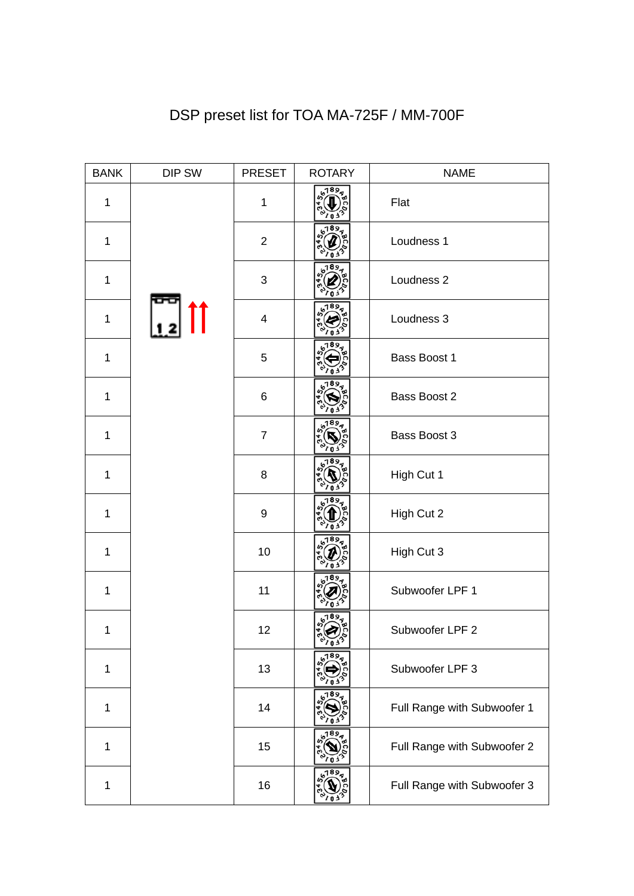| <b>BANK</b>  | DIP SW | <b>PRESET</b>             | <b>ROTARY</b> | <b>NAME</b>                 |
|--------------|--------|---------------------------|---------------|-----------------------------|
| $\mathbf 1$  |        | $\mathbf{1}$              | 189,          | Flat                        |
| 1            |        | $\overline{2}$            |               | Loudness 1                  |
| $\mathbf 1$  |        | $\ensuremath{\mathsf{3}}$ |               | Loudness 2                  |
| $\mathbf 1$  |        | $\overline{\mathbf{4}}$   |               | Loudness 3                  |
| $\mathbf{1}$ |        | 5                         |               | Bass Boost 1                |
| $\mathbf 1$  |        | 6                         |               | Bass Boost 2                |
| $\mathbf 1$  |        | $\overline{7}$            |               | Bass Boost 3                |
| $\mathbf{1}$ |        | 8                         |               | High Cut 1                  |
| $\mathbf{1}$ |        | $\boldsymbol{9}$          |               | High Cut 2                  |
| $\mathbf{1}$ |        | 10                        |               | High Cut 3                  |
| $\mathbf{1}$ |        | 11                        |               | Subwoofer LPF 1             |
| 1            |        | 12                        | 6,013         | Subwoofer LPF 2             |
| 1            |        | 13                        | 6189          | Subwoofer LPF 3             |
| $\mathbf 1$  |        | 14                        | 189           | Full Range with Subwoofer 1 |
| 1            |        | 15                        |               | Full Range with Subwoofer 2 |
| 1            |        | 16                        | 189           | Full Range with Subwoofer 3 |

## DSP preset list for TOA MA-725F / MM-700F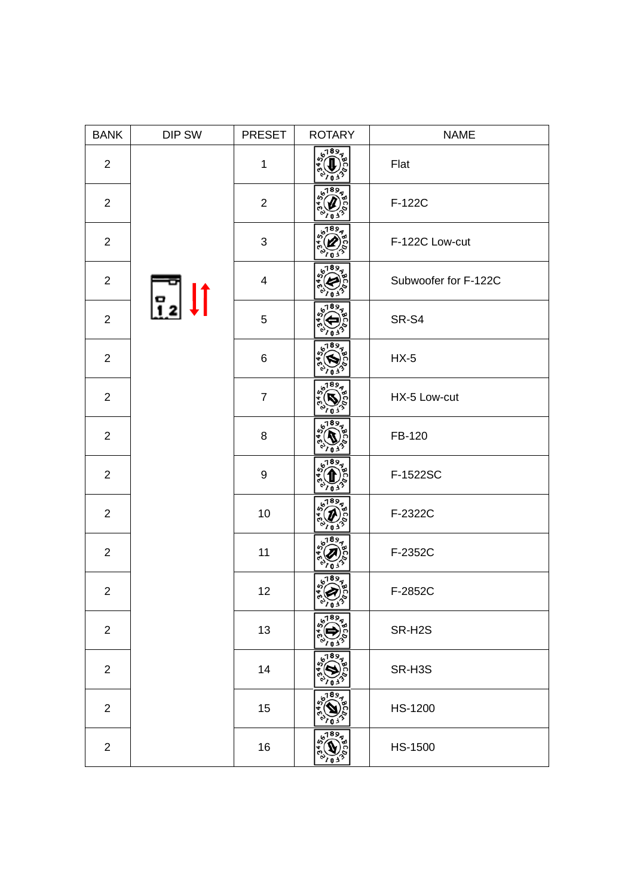| <b>BANK</b>    | DIP SW         | <b>PRESET</b>    | <b>ROTARY</b> | <b>NAME</b>          |
|----------------|----------------|------------------|---------------|----------------------|
| $\overline{2}$ |                | $\mathbf{1}$     | 61893         | Flat                 |
| $\overline{2}$ |                | $\overline{2}$   |               | F-122C               |
| $\overline{2}$ |                | $\sqrt{3}$       |               | F-122C Low-cut       |
| $\overline{2}$ |                | $\overline{4}$   |               | Subwoofer for F-122C |
| $\overline{2}$ | $\overline{1}$ | 5                |               | SR-S4                |
| $\overline{2}$ |                | 6                |               | $HX-5$               |
| $\overline{2}$ |                | $\boldsymbol{7}$ |               | HX-5 Low-cut         |
| $\overline{2}$ |                | 8                | 89            | FB-120               |
| $\overline{2}$ |                | 9                | 189<br>03     | F-1522SC             |
| $\overline{2}$ |                | 10               | 18 S          | F-2322C              |
| $\overline{2}$ |                | 11               | 18 S          | F-2352C              |
| $\overline{2}$ |                | 12               | 6,033         | F-2852C              |
| $\overline{2}$ |                | 13               | 6789          | SR-H2S               |
| $\overline{2}$ |                | 14               | ,189ع         | SR-H3S               |
| $\overline{c}$ |                | 15               | 189           | HS-1200              |
| $\overline{2}$ |                | 16               | 6189          | HS-1500              |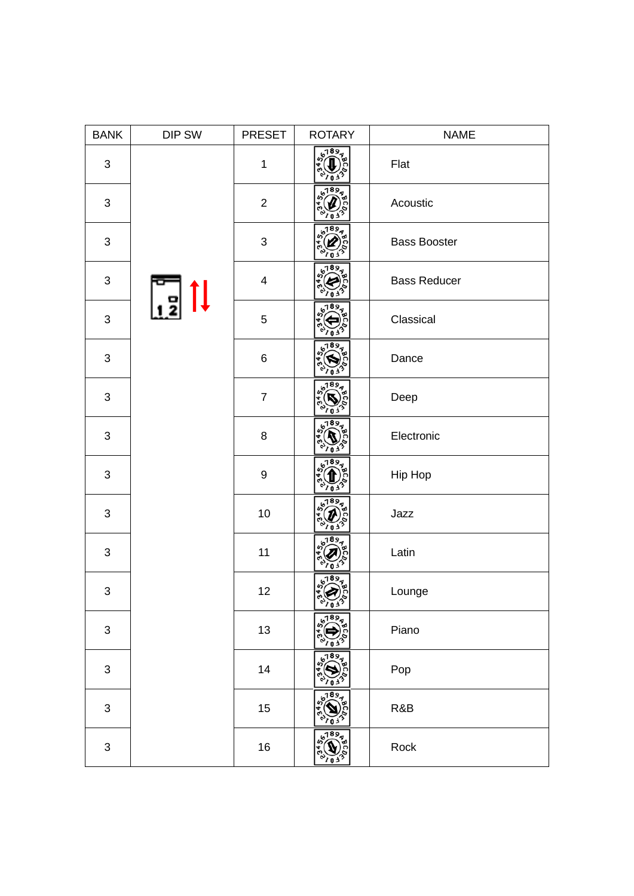| <b>BANK</b>               | DIP SW | <b>PRESET</b>  | <b>ROTARY</b> | <b>NAME</b>         |
|---------------------------|--------|----------------|---------------|---------------------|
| $\ensuremath{\mathsf{3}}$ |        | $\mathbf{1}$   | 189,          | Flat                |
| $\sqrt{3}$                |        | $\overline{2}$ | 89            | Acoustic            |
| $\sqrt{3}$                |        | $\sqrt{3}$     | 89            | <b>Bass Booster</b> |
| $\sqrt{3}$                |        | $\overline{4}$ |               | <b>Bass Reducer</b> |
| $\mathfrak{S}$            |        | 5              | 89            | Classical           |
| $\sqrt{3}$                |        | $\,6\,$        |               | Dance               |
| $\sqrt{3}$                |        | $\overline{7}$ |               | Deep                |
| $\sqrt{3}$                |        | 8              | 89            | Electronic          |
| $\sqrt{3}$                |        | 9              | 189<br>02     | Hip Hop             |
| 3                         |        | 10             | 18 S          | Jazz                |
| 3                         |        | 11             | 18 S          | Latin               |
| 3                         |        | 12             | 6,013         | Lounge              |
| $\mathfrak{S}$            |        | 13             | 67896         | Piano               |
| $\ensuremath{\mathsf{3}}$ |        | 14             | 6789          | Pop                 |
| $\ensuremath{\mathsf{3}}$ |        | 15             | 6189          | R&B                 |
| $\ensuremath{\mathsf{3}}$ |        | $16\,$         | 67899         | Rock                |